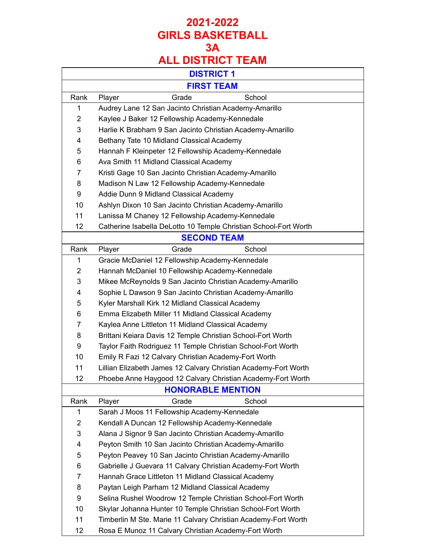# **ALL DISTRICT TEAM**

|                | <b>DISTRICT 1</b>                                                |
|----------------|------------------------------------------------------------------|
|                | <b>FIRST TEAM</b>                                                |
| Rank           | Grade<br>School<br>Player                                        |
| 1              | Audrey Lane 12 San Jacinto Christian Academy-Amarillo            |
| $\overline{2}$ | Kaylee J Baker 12 Fellowship Academy-Kennedale                   |
| 3              | Harlie K Brabham 9 San Jacinto Christian Academy-Amarillo        |
| 4              | Bethany Tate 10 Midland Classical Academy                        |
| 5              | Hannah F Kleinpeter 12 Fellowship Academy-Kennedale              |
| 6              | Ava Smith 11 Midland Classical Academy                           |
| $\overline{7}$ | Kristi Gage 10 San Jacinto Christian Academy-Amarillo            |
| 8              | Madison N Law 12 Fellowship Academy-Kennedale                    |
| 9              | Addie Dunn 9 Midland Classical Academy                           |
| 10             | Ashlyn Dixon 10 San Jacinto Christian Academy-Amarillo           |
| 11             | Lanissa M Chaney 12 Fellowship Academy-Kennedale                 |
| 12             | Catherine Isabella DeLotto 10 Temple Christian School-Fort Worth |
|                | <b>SECOND TEAM</b>                                               |
| Rank           | Grade<br>School<br>Player                                        |
| 1              | Gracie McDaniel 12 Fellowship Academy-Kennedale                  |
| $\overline{2}$ | Hannah McDaniel 10 Fellowship Academy-Kennedale                  |
| 3              | Mikee McReynolds 9 San Jacinto Christian Academy-Amarillo        |
| 4              | Sophie L Dawson 9 San Jacinto Christian Academy-Amarillo         |
| 5              | Kyler Marshall Kirk 12 Midland Classical Academy                 |
| 6              | Emma Elizabeth Miller 11 Midland Classical Academy               |
| $\overline{7}$ | Kaylea Anne Littleton 11 Midland Classical Academy               |
| 8              | Brittani Keiara Davis 12 Temple Christian School-Fort Worth      |
| 9              | Taylor Faith Rodriguez 11 Temple Christian School-Fort Worth     |
| 10             | Emily R Fazi 12 Calvary Christian Academy-Fort Worth             |
| 11             | Lillian Elizabeth James 12 Calvary Christian Academy-Fort Worth  |
| 12             | Phoebe Anne Haygood 12 Calvary Christian Academy-Fort Worth      |
|                | <b>HONORABLE MENTION</b>                                         |
| Rank           | Grade<br>School<br>Player                                        |
| 1              | Sarah J Moos 11 Fellowship Academy-Kennedale                     |
| $\overline{c}$ | Kendall A Duncan 12 Fellowship Academy-Kennedale                 |
| 3              | Alana J Signor 9 San Jacinto Christian Academy-Amarillo          |
| 4              | Peyton Smith 10 San Jacinto Christian Academy-Amarillo           |
| 5              | Peyton Peavey 10 San Jacinto Christian Academy-Amarillo          |
| 6              | Gabrielle J Guevara 11 Calvary Christian Academy-Fort Worth      |
| 7              | Hannah Grace Littleton 11 Midland Classical Academy              |
| 8              | Paytan Leigh Parham 12 Midland Classical Academy                 |
| 9              | Selina Rushel Woodrow 12 Temple Christian School-Fort Worth      |
| 10             | Skylar Johanna Hunter 10 Temple Christian School-Fort Worth      |
| 11             | Timberlin M Ste. Marie 11 Calvary Christian Academy-Fort Worth   |
| 12             | Rosa E Munoz 11 Calvary Christian Academy-Fort Worth             |

 $\mathbf{I}$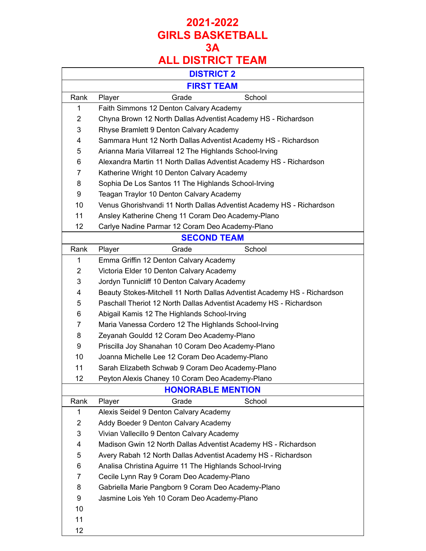|                | <b>DISTRICT 2</b>                                                        |
|----------------|--------------------------------------------------------------------------|
|                | <b>FIRST TEAM</b>                                                        |
| Rank           | Grade<br>School<br>Player                                                |
| 1              | Faith Simmons 12 Denton Calvary Academy                                  |
| $\overline{2}$ | Chyna Brown 12 North Dallas Adventist Academy HS - Richardson            |
| 3              | Rhyse Bramlett 9 Denton Calvary Academy                                  |
| 4              | Sammara Hunt 12 North Dallas Adventist Academy HS - Richardson           |
| 5              | Arianna Maria Villarreal 12 The Highlands School-Irving                  |
| 6              | Alexandra Martin 11 North Dallas Adventist Academy HS - Richardson       |
| 7              | Katherine Wright 10 Denton Calvary Academy                               |
| 8              | Sophia De Los Santos 11 The Highlands School-Irving                      |
| 9              | Teagan Traylor 10 Denton Calvary Academy                                 |
| 10             | Venus Ghorishvandi 11 North Dallas Adventist Academy HS - Richardson     |
| 11             | Ansley Katherine Cheng 11 Coram Deo Academy-Plano                        |
| 12             | Carlye Nadine Parmar 12 Coram Deo Academy-Plano                          |
|                | <b>SECOND TEAM</b>                                                       |
| Rank           | School<br>Grade<br>Player                                                |
| 1              | Emma Griffin 12 Denton Calvary Academy                                   |
| $\overline{2}$ | Victoria Elder 10 Denton Calvary Academy                                 |
| 3              | Jordyn Tunnicliff 10 Denton Calvary Academy                              |
| 4              | Beauty Stokes-Mitchell 11 North Dallas Adventist Academy HS - Richardson |
| 5              | Paschall Theriot 12 North Dallas Adventist Academy HS - Richardson       |
| 6              | Abigail Kamis 12 The Highlands School-Irving                             |
| 7              | Maria Vanessa Cordero 12 The Highlands School-Irving                     |
| 8              | Zeyanah Gouldd 12 Coram Deo Academy-Plano                                |
| 9              | Priscilla Joy Shanahan 10 Coram Deo Academy-Plano                        |
| 10             | Joanna Michelle Lee 12 Coram Deo Academy-Plano                           |
| 11             | Sarah Elizabeth Schwab 9 Coram Deo Academy-Plano                         |
| 12             | Peyton Alexis Chaney 10 Coram Deo Academy-Plano                          |
|                | <b>HONORABLE MENTION</b>                                                 |
| Rank           | Grade<br>School<br>Player                                                |
| 1              | Alexis Seidel 9 Denton Calvary Academy                                   |
| $\overline{2}$ | Addy Boeder 9 Denton Calvary Academy                                     |
| 3              | Vivian Vallecillo 9 Denton Calvary Academy                               |
| 4              | Madison Gwin 12 North Dallas Adventist Academy HS - Richardson           |
| 5              | Avery Rabah 12 North Dallas Adventist Academy HS - Richardson            |
| 6              | Analisa Christina Aguirre 11 The Highlands School-Irving                 |
| 7              | Cecile Lynn Ray 9 Coram Deo Academy-Plano                                |
| 8              | Gabriella Marie Pangborn 9 Coram Deo Academy-Plano                       |
| 9              | Jasmine Lois Yeh 10 Coram Deo Academy-Plano                              |
| 10             |                                                                          |
| 11             |                                                                          |
| 12             |                                                                          |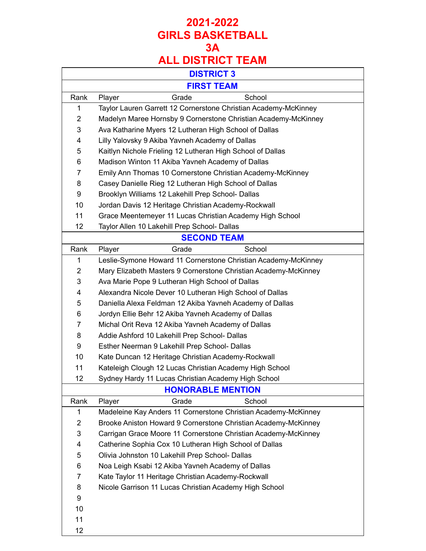|                | <b>DISTRICT 3</b>                                               |
|----------------|-----------------------------------------------------------------|
|                | <b>FIRST TEAM</b>                                               |
| Rank           | Grade<br>School<br>Player                                       |
| 1              | Taylor Lauren Garrett 12 Cornerstone Christian Academy-McKinney |
| $\overline{2}$ | Madelyn Maree Hornsby 9 Cornerstone Christian Academy-McKinney  |
| 3              | Ava Katharine Myers 12 Lutheran High School of Dallas           |
| 4              | Lilly Yalovsky 9 Akiba Yavneh Academy of Dallas                 |
| 5              | Kaitlyn Nichole Frieling 12 Lutheran High School of Dallas      |
| 6              | Madison Winton 11 Akiba Yavneh Academy of Dallas                |
| $\overline{7}$ | Emily Ann Thomas 10 Cornerstone Christian Academy-McKinney      |
| 8              | Casey Danielle Rieg 12 Lutheran High School of Dallas           |
| 9              | Brooklyn Williams 12 Lakehill Prep School- Dallas               |
| 10             | Jordan Davis 12 Heritage Christian Academy-Rockwall             |
| 11             | Grace Meentemeyer 11 Lucas Christian Academy High School        |
| 12             | Taylor Allen 10 Lakehill Prep School- Dallas                    |
|                | <b>SECOND TEAM</b>                                              |
| Rank           | School<br>Player<br>Grade                                       |
| 1              | Leslie-Symone Howard 11 Cornerstone Christian Academy-McKinney  |
| $\overline{2}$ | Mary Elizabeth Masters 9 Cornerstone Christian Academy-McKinney |
| 3              | Ava Marie Pope 9 Lutheran High School of Dallas                 |
| 4              | Alexandra Nicole Dever 10 Lutheran High School of Dallas        |
| 5              | Daniella Alexa Feldman 12 Akiba Yavneh Academy of Dallas        |
| 6              | Jordyn Ellie Behr 12 Akiba Yavneh Academy of Dallas             |
| $\overline{7}$ | Michal Orit Reva 12 Akiba Yavneh Academy of Dallas              |
| 8              | Addie Ashford 10 Lakehill Prep School- Dallas                   |
| 9              | Esther Neerman 9 Lakehill Prep School- Dallas                   |
| 10             | Kate Duncan 12 Heritage Christian Academy-Rockwall              |
| 11             | Kateleigh Clough 12 Lucas Christian Academy High School         |
| 12             | Sydney Hardy 11 Lucas Christian Academy High School             |
|                | <b>HONORABLE MENTION</b>                                        |
| Rank           | Grade<br>School<br>Player                                       |
| 1              | Madeleine Kay Anders 11 Cornerstone Christian Academy-McKinney  |
| $\overline{2}$ | Brooke Aniston Howard 9 Cornerstone Christian Academy-McKinney  |
| 3              | Carrigan Grace Moore 11 Cornerstone Christian Academy-McKinney  |
| 4              | Catherine Sophia Cox 10 Lutheran High School of Dallas          |
| 5              | Olivia Johnston 10 Lakehill Prep School- Dallas                 |
| 6              | Noa Leigh Ksabi 12 Akiba Yavneh Academy of Dallas               |
| 7              | Kate Taylor 11 Heritage Christian Academy-Rockwall              |
| 8              | Nicole Garrison 11 Lucas Christian Academy High School          |
| 9              |                                                                 |
| 10             |                                                                 |
| 11             |                                                                 |
| 12             |                                                                 |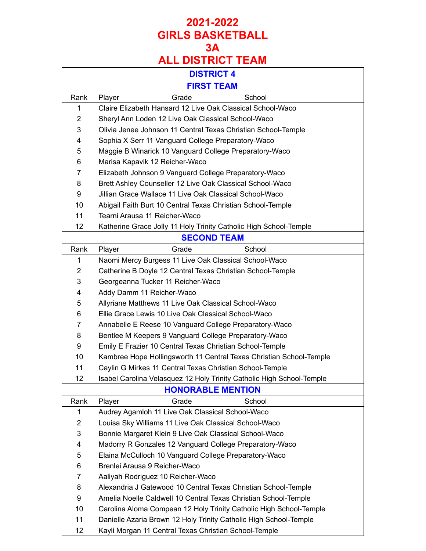|                | <b>DISTRICT 4</b>                                                     |
|----------------|-----------------------------------------------------------------------|
|                | <b>FIRST TEAM</b>                                                     |
| Rank           | Grade<br>School                                                       |
| 1              | Player<br>Claire Elizabeth Hansard 12 Live Oak Classical School-Waco  |
| $\overline{2}$ | Sheryl Ann Loden 12 Live Oak Classical School-Waco                    |
| 3              | Olivia Jenee Johnson 11 Central Texas Christian School-Temple         |
| 4              | Sophia X Serr 11 Vanguard College Preparatory-Waco                    |
| 5              | Maggie B Winarick 10 Vanguard College Preparatory-Waco                |
| 6              | Marisa Kapavik 12 Reicher-Waco                                        |
| $\overline{7}$ |                                                                       |
| 8              | Elizabeth Johnson 9 Vanguard College Preparatory-Waco                 |
|                | Brett Ashley Counseller 12 Live Oak Classical School-Waco             |
| 9              | Jillian Grace Wallace 11 Live Oak Classical School-Waco               |
| 10             | Abigail Faith Burt 10 Central Texas Christian School-Temple           |
| 11             | Tearni Arausa 11 Reicher-Waco                                         |
| 12             | Katherine Grace Jolly 11 Holy Trinity Catholic High School-Temple     |
|                | <b>SECOND TEAM</b>                                                    |
| Rank           | Grade<br>Player<br>School                                             |
| 1              | Naomi Mercy Burgess 11 Live Oak Classical School-Waco                 |
| $\overline{2}$ | Catherine B Doyle 12 Central Texas Christian School-Temple            |
| 3              | Georgeanna Tucker 11 Reicher-Waco                                     |
| 4              | Addy Damm 11 Reicher-Waco                                             |
| 5              | Allyriane Matthews 11 Live Oak Classical School-Waco                  |
| 6              | Ellie Grace Lewis 10 Live Oak Classical School-Waco                   |
| $\overline{7}$ | Annabelle E Reese 10 Vanguard College Preparatory-Waco                |
| 8              | Bentlee M Keepers 9 Vanguard College Preparatory-Waco                 |
| 9              | Emily E Frazier 10 Central Texas Christian School-Temple              |
| 10             | Kambree Hope Hollingsworth 11 Central Texas Christian School-Temple   |
| 11             | Caylin G Mirkes 11 Central Texas Christian School-Temple              |
| 12             | Isabel Carolina Velasquez 12 Holy Trinity Catholic High School-Temple |
|                | <b>HONORABLE MENTION</b>                                              |
| Rank           | School<br>Grade<br>Player                                             |
| 1              | Audrey Agamloh 11 Live Oak Classical School-Waco                      |
| $\overline{2}$ | Louisa Sky Williams 11 Live Oak Classical School-Waco                 |
| 3              | Bonnie Margaret Klein 9 Live Oak Classical School-Waco                |
| 4              | Madorry R Gonzales 12 Vanguard College Preparatory-Waco               |
| 5              | Elaina McCulloch 10 Vanguard College Preparatory-Waco                 |
| 6              | Brenlei Arausa 9 Reicher-Waco                                         |
| $\overline{7}$ | Aaliyah Rodriguez 10 Reicher-Waco                                     |
| 8              | Alexandria J Gatewood 10 Central Texas Christian School-Temple        |
| 9              | Amelia Noelle Caldwell 10 Central Texas Christian School-Temple       |
| 10             | Carolina Aloma Compean 12 Holy Trinity Catholic High School-Temple    |
| 11             | Danielle Azaria Brown 12 Holy Trinity Catholic High School-Temple     |
| 12             | Kayli Morgan 11 Central Texas Christian School-Temple                 |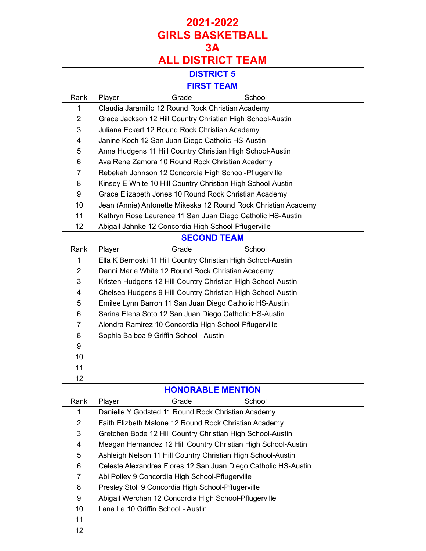# **ALL DISTRICT TEAM**

|                | <b>DISTRICT 5</b>                                              |  |  |
|----------------|----------------------------------------------------------------|--|--|
|                | <b>FIRST TEAM</b>                                              |  |  |
| Rank           | Grade<br>School<br>Player                                      |  |  |
| 1              | Claudia Jaramillo 12 Round Rock Christian Academy              |  |  |
| $\overline{2}$ | Grace Jackson 12 Hill Country Christian High School-Austin     |  |  |
| 3              | Juliana Eckert 12 Round Rock Christian Academy                 |  |  |
| 4              | Janine Koch 12 San Juan Diego Catholic HS-Austin               |  |  |
| 5              | Anna Hudgens 11 Hill Country Christian High School-Austin      |  |  |
| 6              | Ava Rene Zamora 10 Round Rock Christian Academy                |  |  |
| 7              | Rebekah Johnson 12 Concordia High School-Pflugerville          |  |  |
| 8              | Kinsey E White 10 Hill Country Christian High School-Austin    |  |  |
| 9              | Grace Elizabeth Jones 10 Round Rock Christian Academy          |  |  |
| 10             | Jean (Annie) Antonette Mikeska 12 Round Rock Christian Academy |  |  |
| 11             | Kathryn Rose Laurence 11 San Juan Diego Catholic HS-Austin     |  |  |
| 12             | Abigail Jahnke 12 Concordia High School-Pflugerville           |  |  |
|                | <b>SECOND TEAM</b>                                             |  |  |
| Rank           | Grade<br>Player<br>School                                      |  |  |
| 1              | Ella K Bernoski 11 Hill Country Christian High School-Austin   |  |  |
| $\overline{2}$ | Danni Marie White 12 Round Rock Christian Academy              |  |  |
| 3              | Kristen Hudgens 12 Hill Country Christian High School-Austin   |  |  |
| 4              | Chelsea Hudgens 9 Hill Country Christian High School-Austin    |  |  |
| 5              | Emilee Lynn Barron 11 San Juan Diego Catholic HS-Austin        |  |  |
| 6              | Sarina Elena Soto 12 San Juan Diego Catholic HS-Austin         |  |  |
| 7              | Alondra Ramirez 10 Concordia High School-Pflugerville          |  |  |
| 8              | Sophia Balboa 9 Griffin School - Austin                        |  |  |
| 9              |                                                                |  |  |
| 10             |                                                                |  |  |
| 11             |                                                                |  |  |
| 12             |                                                                |  |  |
|                | <b>HONORABLE MENTION</b>                                       |  |  |
| Rank           | Grade<br>School<br>Player                                      |  |  |
| 1              | Danielle Y Godsted 11 Round Rock Christian Academy             |  |  |
| $\overline{2}$ | Faith Elizbeth Malone 12 Round Rock Christian Academy          |  |  |
| 3              | Gretchen Bode 12 Hill Country Christian High School-Austin     |  |  |
| 4              | Meagan Hernandez 12 Hill Country Christian High School-Austin  |  |  |
| 5              | Ashleigh Nelson 11 Hill Country Christian High School-Austin   |  |  |
| 6              | Celeste Alexandrea Flores 12 San Juan Diego Catholic HS-Austin |  |  |
| 7              | Abi Polley 9 Concordia High School-Pflugerville                |  |  |
| 8              | Presley Stoll 9 Concordia High School-Pflugerville             |  |  |
| 9              | Abigail Werchan 12 Concordia High School-Pflugerville          |  |  |
| 10             | Lana Le 10 Griffin School - Austin                             |  |  |
| 11             |                                                                |  |  |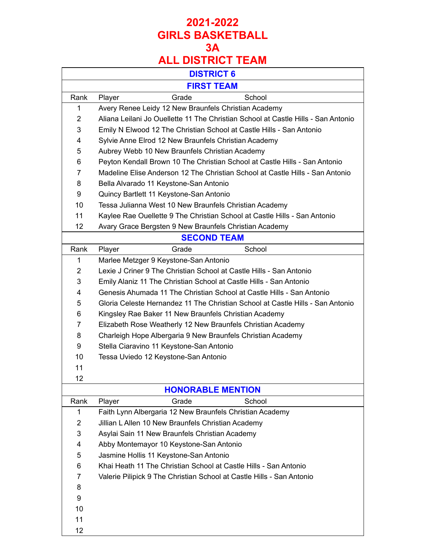|                          | REE PIUTINUT<br>. . <i>.</i>                                                      |  |
|--------------------------|-----------------------------------------------------------------------------------|--|
|                          | <b>DISTRICT 6</b>                                                                 |  |
|                          | <b>FIRST TEAM</b>                                                                 |  |
| Rank                     | Grade<br>School<br>Player                                                         |  |
| 1                        | Avery Renee Leidy 12 New Braunfels Christian Academy                              |  |
| $\overline{2}$           | Aliana Leilani Jo Ouellette 11 The Christian School at Castle Hills - San Antonio |  |
| 3                        | Emily N Elwood 12 The Christian School at Castle Hills - San Antonio              |  |
| 4                        | Sylvie Anne Elrod 12 New Braunfels Christian Academy                              |  |
| 5                        | Aubrey Webb 10 New Braunfels Christian Academy                                    |  |
| 6                        | Peyton Kendall Brown 10 The Christian School at Castle Hills - San Antonio        |  |
| $\overline{7}$           | Madeline Elise Anderson 12 The Christian School at Castle Hills - San Antonio     |  |
| 8                        | Bella Alvarado 11 Keystone-San Antonio                                            |  |
| 9                        | Quincy Bartlett 11 Keystone-San Antonio                                           |  |
| 10                       | Tessa Julianna West 10 New Braunfels Christian Academy                            |  |
| 11                       | Kaylee Rae Ouellette 9 The Christian School at Castle Hills - San Antonio         |  |
| 12                       | Avary Grace Bergsten 9 New Braunfels Christian Academy                            |  |
|                          | <b>SECOND TEAM</b>                                                                |  |
| Rank                     | Grade<br>School<br>Player                                                         |  |
| 1                        | Marlee Metzger 9 Keystone-San Antonio                                             |  |
| $\overline{2}$           | Lexie J Criner 9 The Christian School at Castle Hills - San Antonio               |  |
| 3                        | Emily Alaniz 11 The Christian School at Castle Hills - San Antonio                |  |
| 4                        | Genesis Ahumada 11 The Christian School at Castle Hills - San Antonio             |  |
| 5                        | Gloria Celeste Hernandez 11 The Christian School at Castle Hills - San Antonio    |  |
| 6                        | Kingsley Rae Baker 11 New Braunfels Christian Academy                             |  |
| $\overline{7}$           | Elizabeth Rose Weatherly 12 New Braunfels Christian Academy                       |  |
| 8                        | Charleigh Hope Albergaria 9 New Braunfels Christian Academy                       |  |
| 9                        | Stella Ciaravino 11 Keystone-San Antonio                                          |  |
| 10                       | Tessa Uviedo 12 Keystone-San Antonio                                              |  |
| 11                       |                                                                                   |  |
| 12                       |                                                                                   |  |
| <b>HONORABLE MENTION</b> |                                                                                   |  |
| Rank                     | Grade<br>School<br>Player                                                         |  |
| 1                        | Faith Lynn Albergaria 12 New Braunfels Christian Academy                          |  |
| $\overline{2}$           | Jillian L Allen 10 New Braunfels Christian Academy                                |  |

- Asylai Sain 11 New Braunfels Christian Academy
- Abby Montemayor 10 Keystone-San Antonio
- Jasmine Hollis 11 Keystone-San Antonio
- Khai Heath 11 The Christian School at Castle Hills San Antonio
- Valerie Pilipick 9 The Christian School at Castle Hills San Antonio
- 
- 
- 
- 
- 
- 
-